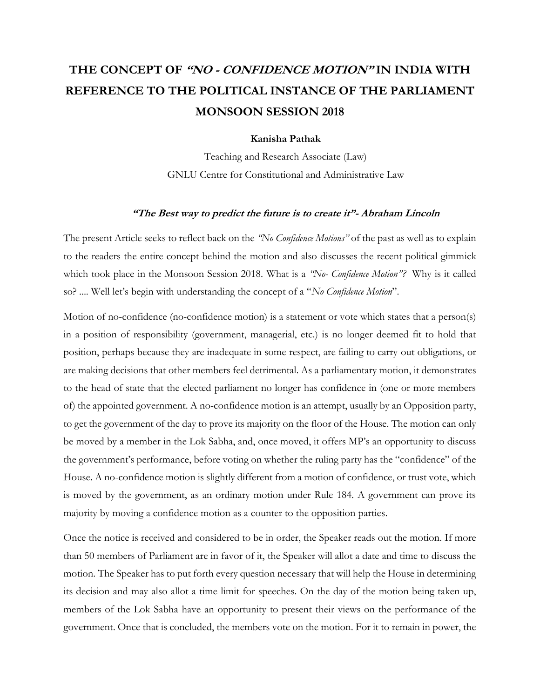# **THE CONCEPT OF "NO - CONFIDENCE MOTION" IN INDIA WITH REFERENCE TO THE POLITICAL INSTANCE OF THE PARLIAMENT MONSOON SESSION 2018**

#### **Kanisha Pathak**

Teaching and Research Associate (Law) GNLU Centre for Constitutional and Administrative Law

#### **"The Best way to predict the future is to create it"- Abraham Lincoln**

The present Article seeks to reflect back on the *"No Confidence Motions"* of the past as well as to explain to the readers the entire concept behind the motion and also discusses the recent political gimmick which took place in the Monsoon Session 2018. What is a *"No- Confidence Motion"?* Why is it called so? .... Well let's begin with understanding the concept of a "*No Confidence Motion*".

Motion of no-confidence (no-confidence motion) is a statement or vote which states that a person(s) in a position of responsibility (government, managerial, etc.) is no longer deemed fit to hold that position, perhaps because they are inadequate in some respect, are failing to carry out obligations, or are making decisions that other members feel detrimental. As a [parliamentary motion,](https://en.wikipedia.org/wiki/Motion_(parliamentary_procedure)) it demonstrates to the [head of state](https://en.wikipedia.org/wiki/Head_of_state) that the elected parliament no longer has confidence in (one or more members of) the appointed [government.](https://en.wikipedia.org/wiki/Executive_(government)) A no-confidence motion is an attempt, usually by an Opposition party, to get the government of the day to prove its majority on the floor of the House. The motion can only be moved by a member in the Lok Sabha, and, once moved, it offers MP's an opportunity to discuss the government's performance, before voting on whether the ruling party has the "confidence" of the House. A no-confidence motion is slightly different from a motion of confidence, or trust vote, which is moved by the government, as an ordinary motion under Rule 184. A government can prove its majority by moving a confidence motion as a counter to the opposition parties.

Once the notice is received and considered to be in order, the Speaker reads out the motion. If more than 50 members of Parliament are in favor of it, the Speaker will allot a date and time to discuss the motion. The Speaker has to put forth every question necessary that will help the House in determining its decision and may also allot a time limit for speeches. On the day of the motion being taken up, members of the Lok Sabha have an opportunity to present their views on the performance of the government. Once that is concluded, the members vote on the motion. For it to remain in power, the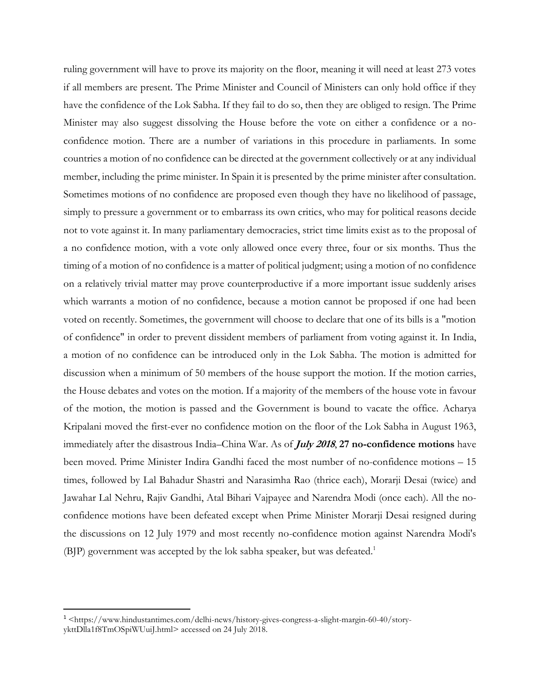ruling government will have to prove its majority on the floor, meaning it will need at least 273 votes if all members are present. The Prime Minister and Council of Ministers can only hold office if they have the confidence of the Lok Sabha. If they fail to do so, then they are obliged to resign. The Prime Minister may also suggest dissolving the House before the vote on either a confidence or a noconfidence motion. There are a number of variations in this procedure in parliaments. In some countries a motion of no confidence can be directed at the government collectively or at any individual member, including the [prime minister.](https://en.wikipedia.org/wiki/Prime_minister) In [Spain](https://en.wikipedia.org/wiki/Spain) it is presented by the prime minister after consultation. Sometimes motions of no confidence are proposed even though they have no likelihood of passage, simply to pressure a government or to embarrass its own critics, who may for political reasons decide not to vote against it. In many [parliamentary democracies,](https://en.wikipedia.org/wiki/Parliamentary_system) strict time limits exist as to the proposal of a no confidence motion, with a vote only allowed once every three, four or six months. Thus the timing of a motion of no confidence is a matter of political judgment; using a motion of no confidence on a relatively trivial matter may prove counterproductive if a more important issue suddenly arises which warrants a motion of no confidence, because a motion cannot be proposed if one had been voted on recently. Sometimes, the government will choose to declare that one of its bills is a "motion of confidence" in order to prevent dissident members of parliament from voting against it. In India, a motion of no confidence can be introduced only in the [Lok Sabha.](https://en.wikipedia.org/wiki/Lok_Sabha) The motion is admitted for discussion when a minimum of 50 members of the house support the motion. If the motion carries, the House debates and votes on the motion. If a majority of the members of the house vote in favour of the motion, the motion is passed and the Government is bound to vacate the office. [Acharya](https://en.wikipedia.org/wiki/Acharya_Kripalani)  [Kripalani](https://en.wikipedia.org/wiki/Acharya_Kripalani) moved the first-ever no confidence motion on the floor of the Lok Sabha in August 1963, immediately after the disastrous India–[China War.](https://en.wikipedia.org/wiki/Sino-Indian_War) As of **July 2018**, **27 no-confidence motions** have been moved. Prime Minister [Indira Gandhi](https://en.wikipedia.org/wiki/Indira_Gandhi) faced the most number of no-confidence motions – 15 times, followed by [Lal Bahadur Shastri](https://en.wikipedia.org/wiki/Lal_Bahadur_Shastri) and [Narasimha Rao](https://en.wikipedia.org/wiki/Narasimha_Rao) (thrice each), [Morarji Desai](https://en.wikipedia.org/wiki/Morarji_Desai) (twice) and [Jawahar Lal Nehru,](https://en.wikipedia.org/wiki/Jawahar_Lal_Nehru) [Rajiv Gandhi,](https://en.wikipedia.org/wiki/Rajiv_Gandhi) [Atal Bihari Vajpayee](https://en.wikipedia.org/wiki/Atal_Bihari_Vajpayee) and [Narendra Modi](https://en.wikipedia.org/wiki/Narendra_Modi) (once each). All the noconfidence motions have been defeated except when Prime Minister Morarji Desai resigned during the discussions on 12 July 1979 and most recently no-confidence motion against Narendra Modi's (BJP) government was accepted by the lok sabha speaker, but was defeated.<sup>1</sup>

 $\overline{\phantom{a}}$ 

<sup>1</sup> [<https://www.hindustantimes.com/delhi-news/history-gives-congress-a-slight-margin-60-40/story](https://www.hindustantimes.com/delhi-news/history-gives-congress-a-slight-margin-60-40/story-ykttDlla1f8TmOSpiWUuiJ.html)[ykttDlla1f8TmOSpiWUuiJ.html>](https://www.hindustantimes.com/delhi-news/history-gives-congress-a-slight-margin-60-40/story-ykttDlla1f8TmOSpiWUuiJ.html) accessed on 24 July 2018.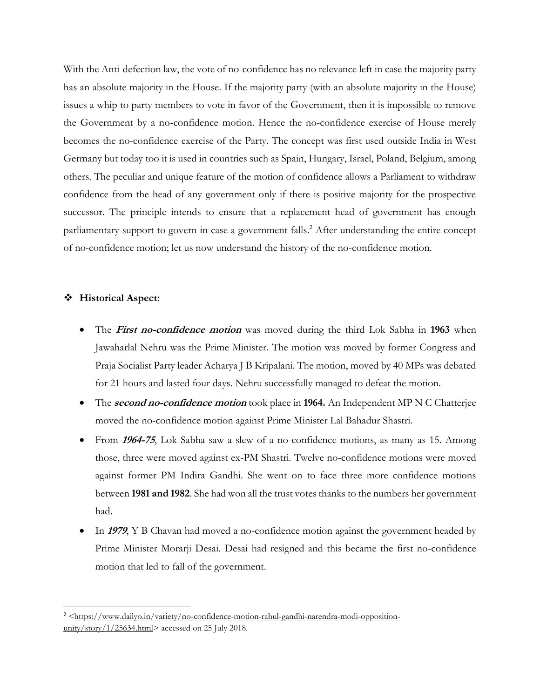With the Anti-defection law, the vote of no-confidence has no relevance left in case the majority party has an absolute majority in the House. If the majority party (with an absolute majority in the House) issues a whip to party members to vote in favor of the Government, then it is impossible to remove the Government by a no-confidence motion. Hence the no-confidence exercise of House merely becomes the no-confidence exercise of the Party. The concept was first used outside India in West Germany but today too it is used in countries such as Spain, Hungary, Israel, Poland, Belgium, among others. The peculiar and unique feature of the motion of confidence allows a Parliament to withdraw confidence from the head of any government only if there is positive majority for the prospective successor. The principle intends to ensure that a replacement head of government has enough parliamentary support to govern in case a government falls. <sup>2</sup> After understanding the entire concept of no-confidence motion; let us now understand the history of the no-confidence motion.

### **Historical Aspect:**

l

- The **First no-confidence motion** was moved during the third Lok Sabha in **1963** when Jawaharlal Nehru was the Prime Minister. The motion was moved by former Congress and Praja Socialist Party leader Acharya J B Kripalani. The motion, moved by 40 MPs was debated for 21 hours and lasted four days. Nehru successfully managed to defeat the motion.
- The **second no-confidence motion** took place in **1964.** An Independent MP N C Chatterjee moved the no-confidence motion against Prime Minister Lal Bahadur Shastri.
- From **1964-75**, Lok Sabha saw a slew of a no-confidence motions, as many as 15. Among those, three were moved against ex-PM Shastri. Twelve no-confidence motions were moved against former PM Indira Gandhi. She went on to face three more confidence motions between **1981 and 1982**. She had won all the trust votes thanks to the numbers her government had.
- In **1979**, Y B Chavan had moved a no-confidence motion against the government headed by Prime Minister Morarji Desai. Desai had resigned and this became the first no-confidence motion that led to fall of the government.

<sup>&</sup>lt;sup>2</sup> [<https://www.dailyo.in/variety/no-confidence-motion-rahul-gandhi-narendra-modi-opposition](https://www.dailyo.in/variety/no-confidence-motion-rahul-gandhi-narendra-modi-opposition-unity/story/1/25634.html)[unity/story/1/25634.html>](https://www.dailyo.in/variety/no-confidence-motion-rahul-gandhi-narendra-modi-opposition-unity/story/1/25634.html) accessed on 25 July 2018.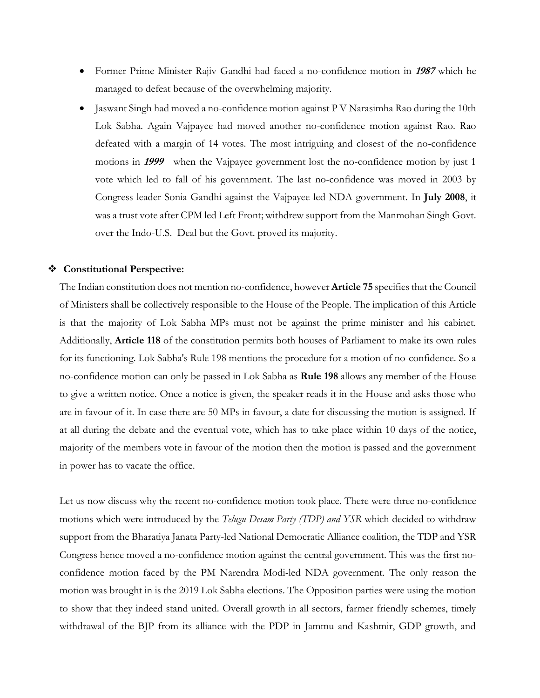- Former Prime Minister Rajiv Gandhi had faced a no-confidence motion in **<sup>1987</sup>** which he managed to defeat because of the overwhelming majority.
- Jaswant Singh had moved a no-confidence motion against P V Narasimha Rao during the 10th Lok Sabha. Again Vajpayee had moved another no-confidence motion against Rao. Rao defeated with a margin of 14 votes. The most intriguing and closest of the no-confidence motions in **<sup>1999</sup>** when the Vajpayee government lost the no-confidence motion by just 1 vote which led to fall of his government. The last no-confidence was moved in 2003 by Congress leader Sonia Gandhi against the Vajpayee-led NDA government. In **July 2008**, it was a trust vote after CPM led Left Front; withdrew support from the Manmohan Singh Govt. over the Indo-U.S. Deal but the Govt. proved its majority.

## **Constitutional Perspective:**

The Indian constitution does not mentio[n no-confidence,](https://www.indiatoday.in/india/story/opposition-parties-express-their-support-for-tdp-s-no-confidence-motion-against-centre-1190793-2018-03-16) however **Article 75** specifies that the Council of Ministers shall be collectively responsible to the House of the People. The implication of this Article is that the majority of Lok Sabha MPs must not be against the prime minister and his cabinet. Additionally, **Article 118** of the constitution permits both houses of Parliament to make its own rules for its functioning. Lok Sabha's Rule 198 mentions the procedure for a motion of no-confidence. So a no-confidence motion can only be passed in Lok Sabha as **Rule 198** allows any member of the House to give a written notice. Once a notice is given, the speaker reads it in the House and asks those who are in favour of it. In case there are 50 MPs in favour, a date for discussing the motion is assigned. If at all during the debate and the eventual vote, which has to take place within 10 days of the notice, majority of the members vote in favour of the motion then the motion is passed and the government in power has to vacate the office.

Let us now discuss why the recent no-confidence motion took place. There were three no-confidence motions which were introduced by the *Telugu Desam Party (TDP) and YSR* which decided to withdraw support from the Bharatiya Janata Party-led National Democratic Alliance coalition, the TDP and YSR Congress hence moved a [no-confidence motion a](https://www.indiatoday.in/india/story/why-tdp-s-no-confidence-motion-must-have-left-bjp-rattled-1191305-2018-03-16)gainst the central government. This was the first noconfidence motion faced by the PM Narendra Modi-led NDA government. The only reason the motion was brought in is the 2019 Lok Sabha elections. The Opposition parties were using the motion to show that they indeed stand united. Overall growth in all sectors, farmer friendly schemes, timely withdrawal of the BJP from its alliance with the PDP in Jammu and Kashmir, GDP growth, and